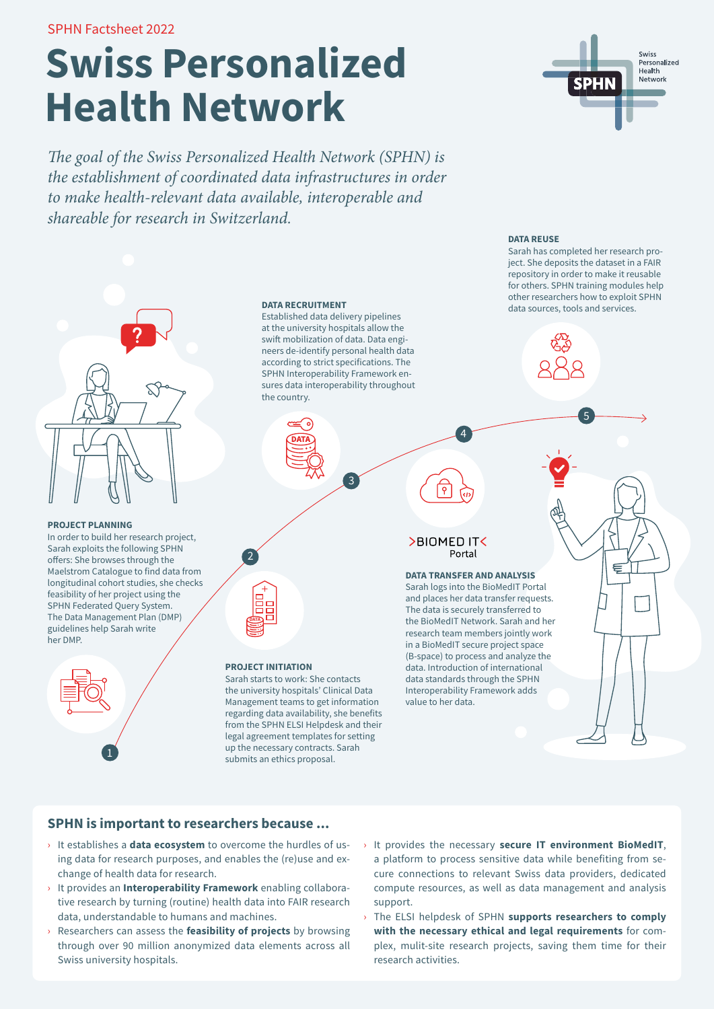SPHN Factsheet 2022

# **Swiss Personalized Health Network**

*The goal of the Swiss Personalized Health Network (SPHN) is the establishment of coordinated data infrastructures in order to make health-relevant data available, interoperable and shareable for research in Switzerland.*



#### **PROJECT PLANNING**

In order to build her research project, Sarah exploits the following SPHN offers: She browses through the Maelstrom Catalogue to find data from longitudinal cohort studies, she checks feasibility of her project using the SPHN Federated Query System. The Data Management Plan (DMP) guidelines help Sarah write her DMP.



#### **DATA RECRUITMENT**

Established data delivery pipelines at the university hospitals allow the swift mobilization of data. Data engineers de-identify personal health data according to strict specifications. The SPHN Interoperability Framework ensures data interoperability throughout the country.

3



 $\mathbf{r}_{2}$ 

#### **PROJECT INITIATION**

Sarah starts to work: She contacts the university hospitals' Clinical Data Management teams to get information regarding data availability, she benefits from the SPHN ELSI Helpdesk and their legal agreement templates for setting up the necessary contracts. Sarah submits an ethics proposal.

#### >BIOMED IT Portal

 $\overline{\mathsf{P}}$ 

4

**DATA TRANSFER AND ANALYSIS** Sarah logs into the BioMedIT Portal and places her data transfer requests. The data is securely transferred to the BioMedIT Network. Sarah and her research team members jointly work in a BioMedIT secure project space (B-space) to process and analyze the data. Introduction of international data standards through the SPHN Interoperability Framework adds value to her data.

## **SPHN is important to researchers because ...**

- › It establishes a **data ecosystem** to overcome the hurdles of using data for research purposes, and enables the (re)use and exchange of health data for research.
- › It provides an **Interoperability Framework** enabling collaborative research by turning (routine) health data into FAIR research data, understandable to humans and machines.
- › Researchers can assess the **feasibility of projects** by browsing through over 90 million anonymized data elements across all Swiss university hospitals.
- › It provides the necessary **secure IT environment BioMedIT**, a platform to process sensitive data while benefiting from secure connections to relevant Swiss data providers, dedicated compute resources, as well as data management and analysis support.
- › The ELSI helpdesk of SPHN **supports researchers to comply with the necessary ethical and legal requirements** for complex, mulit-site research projects, saving them time for their research activities.



**DATA REUSE** 

Sarah has completed her research project. She deposits the dataset in a FAIR repository in order to make it reusable for others. SPHN training modules help other researchers how to exploit SPHN data sources, tools and services.

5

€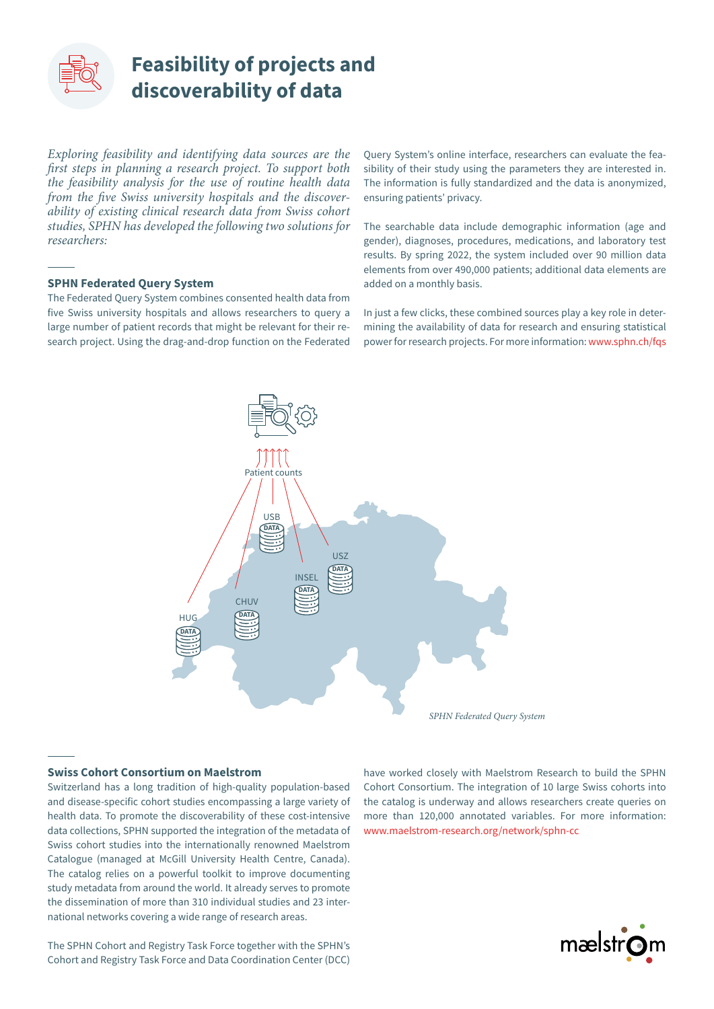

## **Feasibility of projects and discoverability of data**

*Exploring feasibility and identifying data sources are the first steps in planning a research project. To support both the feasibility analysis for the use of routine health data from the five Swiss university hospitals and the discoverability of existing clinical research data from Swiss cohort studies, SPHN has developed the following two solutions for researchers:*

#### **SPHN Federated Query System**

The Federated Query System combines consented health data from five Swiss university hospitals and allows researchers to query a large number of patient records that might be relevant for their research project. Using the drag-and-drop function on the Federated Query System's online interface, researchers can evaluate the feasibility of their study using the parameters they are interested in. The information is fully standardized and the data is anonymized, ensuring patients' privacy.

The searchable data include demographic information (age and gender), diagnoses, procedures, medications, and laboratory test results. By spring 2022, the system included over 90 million data elements from over 490,000 patients; additional data elements are added on a monthly basis.

In just a few clicks, these combined sources play a key role in determining the availability of data for research and ensuring statistical power for research projects. For more information: [www.sphn.ch/fqs](https://sphn.ch/fqs/)



#### **Swiss Cohort Consortium on Maelstrom**

Switzerland has a long tradition of high-quality population-based and disease-specific cohort studies encompassing a large variety of health data. To promote the discoverability of these cost-intensive data collections, SPHN supported the integration of the metadata of Swiss cohort studies into the internationally renowned Maelstrom Catalogue (managed at McGill University Health Centre, Canada). The catalog relies on a powerful toolkit to improve documenting study metadata from around the world. It already serves to promote the dissemination of more than 310 individual studies and 23 international networks covering a wide range of research areas.

have worked closely with Maelstrom Research to build the SPHN Cohort Consortium. The integration of 10 large Swiss cohorts into the catalog is underway and allows researchers create queries on more than 120,000 annotated variables. For more information: [www.maelstrom-research.org/network/sphn-cc](https://www.maelstrom-research.org/network/sphn-cc)



The SPHN Cohort and Registry Task Force together with the SPHN's Cohort and Registry Task Force and Data Coordination Center (DCC)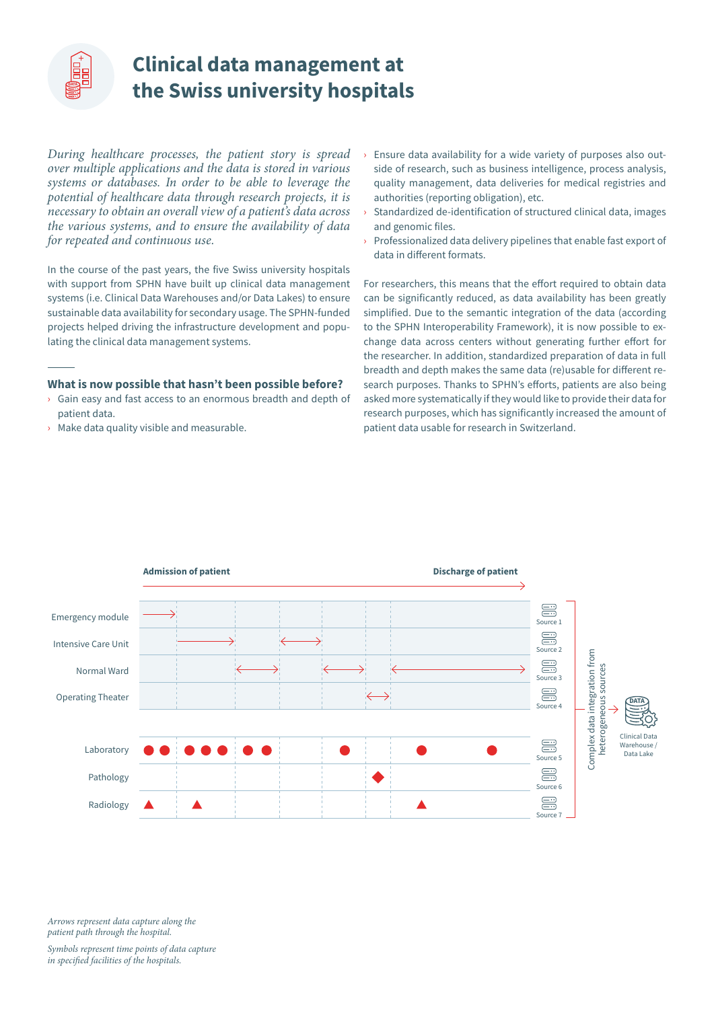<span id="page-2-0"></span>

## **Clinical data management at the Swiss university hospitals**

*During healthcare processes, the patient story is spread over multiple applications and the data is stored in various systems or databases. In order to be able to leverage the potential of healthcare data through research projects, it is necessary to obtain an overall view of a patient's data across the various systems, and to ensure the availability of data for repeated and continuous use.* 

In the course of the past years, the five Swiss university hospitals with support from SPHN have built up clinical data management systems (i.e. Clinical Data Warehouses and/or Data Lakes) to ensure sustainable data availability for secondary usage. The SPHN-funded projects helped driving the infrastructure development and populating the clinical data management systems.

#### **What is now possible that hasn't been possible before?**

- › Gain easy and fast access to an enormous breadth and depth of patient data.
- › Make data quality visible and measurable.
- $\rightarrow$  Ensure data availability for a wide variety of purposes also outside of research, such as business intelligence, process analysis, quality management, data deliveries for medical registries and authorities (reporting obligation), etc.
- Standardized de-identification of structured clinical data, images and genomic files.
- $\rightarrow$  Professionalized data delivery pipelines that enable fast export of data in different formats.

For researchers, this means that the effort required to obtain data can be significantly reduced, as data availability has been greatly simplified. Due to the semantic integration of the data (according to the SPHN Interoperability Framework), it is now possible to exchange data across centers without generating further effort for the researcher. In addition, standardized preparation of data in full breadth and depth makes the same data (re)usable for different research purposes. Thanks to SPHN's efforts, patients are also being asked more systematically if they would like to provide their data for research purposes, which has significantly increased the amount of patient data usable for research in Switzerland.



*Arrows represent data capture along the patient path through the hospital.*

*Symbols represent time points of data capture in specified facilities of the hospitals.*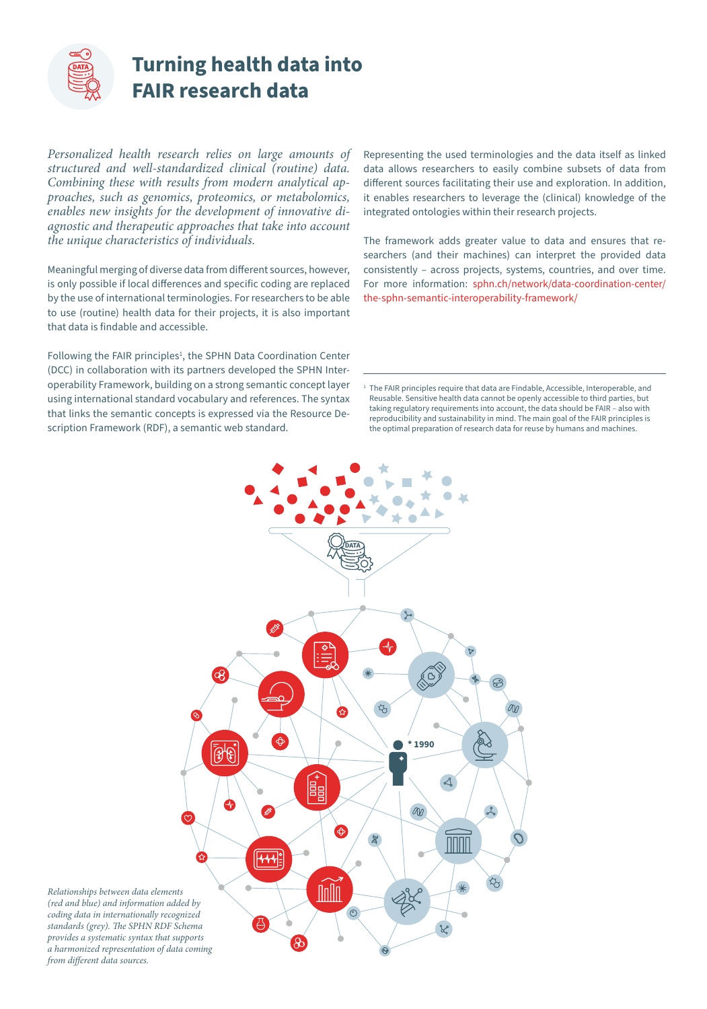

# **Turning health data into FAIR research data**

*Personalized health research relies on large amounts of structured and well-standardized clinical (routine) data. Combining these with results from modern analytical approaches, such as genomics, proteomics, or metabolomics, enables new insights for the development of innovative diagnostic and therapeutic approaches that take into account the unique characteristics of individuals.* 

Meaningful merging of diverse data from different sources, however, is only possible if local differences and specific coding are replaced by the use of international terminologies. For researchers to be able to use (routine) health data for their projects, it is also important that data is findable and accessible.

Following the FAIR principles<sup>1</sup>, the SPHN Data Coordination Center (DCC) in collaboration with its partners developed the SPHN Interoperability Framework, building on a strong semantic concept layer using international standard vocabulary and references. The syntax that links the semantic concepts is expressed via the Resource Description Framework (RDF), a semantic web standard.

Representing the used terminologies and the data itself as linked data allows researchers to easily combine subsets of data from different sources facilitating their use and exploration. In addition, it enables researchers to leverage the (clinical) knowledge of the integrated ontologies within their research projects.

The framework adds greater value to data and ensures that researchers (and their machines) can interpret the provided data consistently – across projects, systems, countries, and over time. For more information: [sphn.ch/network/data-coordination-center/](https://sphn.ch/network/data-coordination-center/the-sphn-semantic-interoperability-framework/) [the-sphn-semantic-interoperability-framework/](https://sphn.ch/network/data-coordination-center/the-sphn-semantic-interoperability-framework/)

<sup>1</sup> The FAIR principles require that data are Findable, Accessible, Interoperable, and Reusable. Sensitive health data cannot be openly accessible to third parties, but taking regulatory requirements into account, the data should be FAIR – also with reproducibility and sustainability in mind. The main goal of the FAIR principles is the optimal preparation of research data for reuse by humans and machines.



*Relationships between data elements (red and blue) and information added by coding data in internationally recognized standards (grey). The SPHN RDF Schema provides a systematic syntax that supports a harmonized representation of data coming from different data sources.*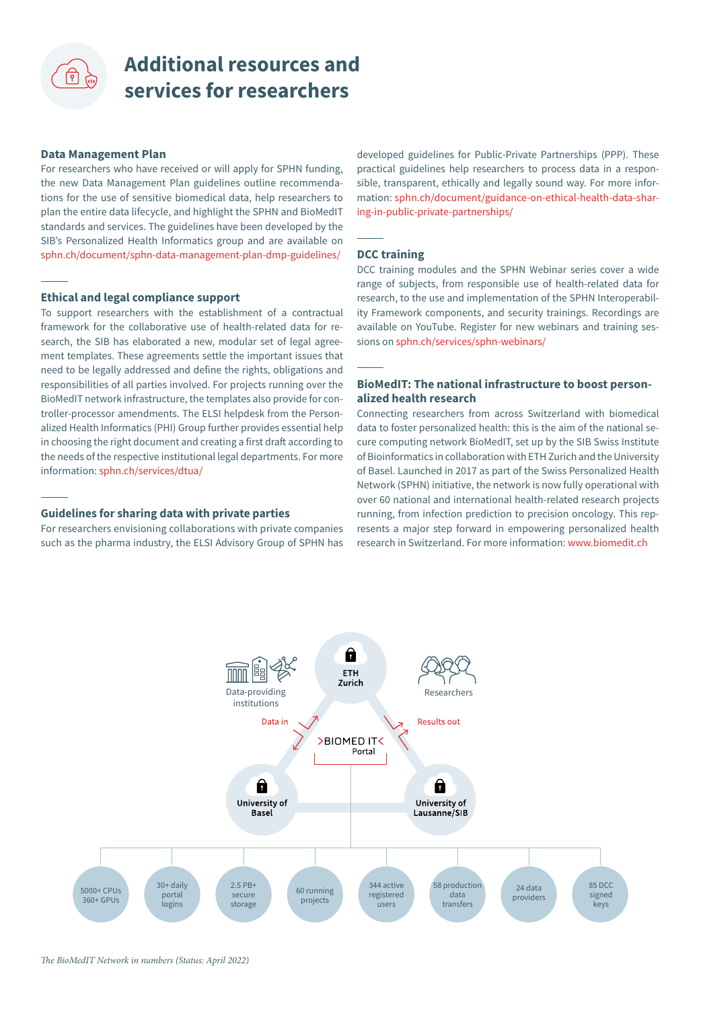# **Additional resources and services for researchers**

#### **Data Management Plan**

For researchers who have received or will apply for SPHN funding, the new Data Management Plan guidelines outline recommendations for the use of sensitive biomedical data, help researchers to plan the entire data lifecycle, and highlight the SPHN and BioMedIT standards and services. The guidelines have been developed by the SIB's Personalized Health Informatics group and are available on [sphn.ch/document/sphn-data-management-plan-dmp-guidelines/](https://sphn.ch/document/sphn-data-management-plan-dmp-guidelines/)

#### **Ethical and legal compliance support**

To support researchers with the establishment of a contractual framework for the collaborative use of health-related data for research, the SIB has elaborated a new, modular set of legal agreement templates. These agreements settle the important issues that need to be legally addressed and define the rights, obligations and responsibilities of all parties involved. For projects running over the BioMedIT network infrastructure, the templates also provide for controller-processor amendments. The ELSI helpdesk from the Personalized Health Informatics (PHI) Group further provides essential help in choosing the right document and creating a first draft according to the needs of the respective institutional legal departments. For more information: [sphn.ch/services/dtua/](https://sphn.ch/services/dtua/)

#### **Guidelines for sharing data with private parties**

For researchers envisioning collaborations with private companies such as the pharma industry, the ELSI Advisory Group of SPHN has developed guidelines for Public-Private Partnerships (PPP). These practical guidelines help researchers to process data in a responsible, transparent, ethically and legally sound way. For more information: [sphn.ch/document/guidance-on-ethical-health-data-shar](https://sphn.ch/document/guidance-on-ethical-health-data-sharing-in-public-private-partnerships/)[ing-in-public-private-partnerships/](https://sphn.ch/document/guidance-on-ethical-health-data-sharing-in-public-private-partnerships/)

#### **DCC training**

DCC training modules and the SPHN Webinar series cover a wide range of subjects, from responsible use of health-related data for research, to the use and implementation of the SPHN Interoperability Framework components, and security trainings. Recordings are available on YouTube. Register for new webinars and training sessions on [sphn.ch/services/sphn-webinars/](https://sphn.ch/services/sphn-webinars/)

#### **BioMedIT: The national infrastructure to boost personalized health research**

Connecting researchers from across Switzerland with biomedical data to foster personalized health: this is the aim of the national secure computing network BioMedIT, set up by the SIB Swiss Institute of Bioinformatics in collaboration with ETH Zurich and the University of Basel. Launched in 2017 as part of the Swiss Personalized Health Network (SPHN) initiative, the network is now fully operational with over 60 national and international health-related research projects running, from infection prediction to precision oncology. This represents a major step forward in empowering personalized health research in Switzerland. For more information:<www.biomedit.ch>